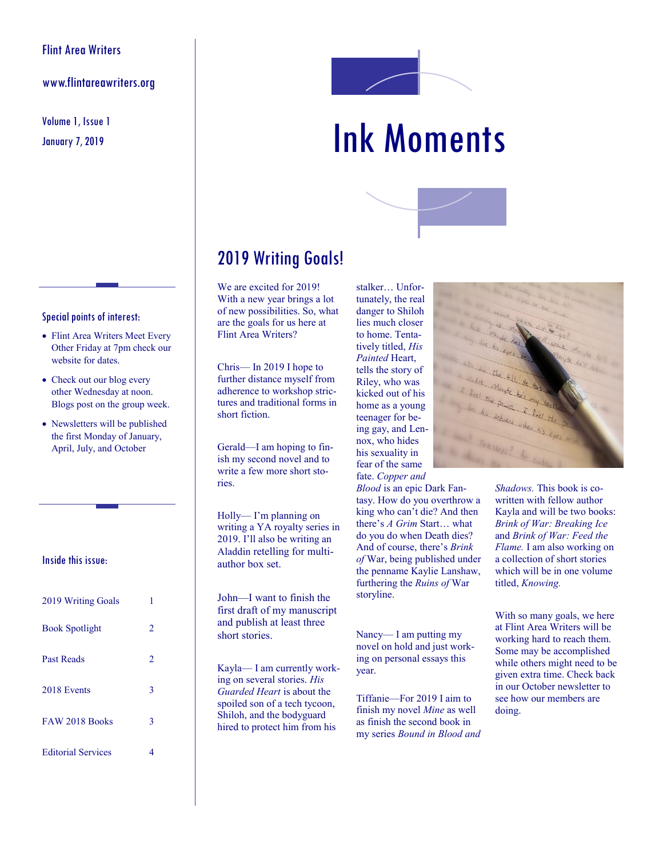Flint Area Writers

www.flintareawriters.org

January 7, 2019 Volume 1, Issue 1



# Ink Moments



### 2019 Writing Goals!

We are excited for 2019! With a new year brings a lot of new possibilities. So, what are the goals for us here at Flint Area Writers?

Chris— In 2019 I hope to further distance myself from adherence to workshop strictures and traditional forms in short fiction.

Gerald—I am hoping to finish my second novel and to write a few more short stories.

Holly— I'm planning on writing a YA royalty series in 2019. I'll also be writing an Aladdin retelling for multiauthor box set.

John—I want to finish the first draft of my manuscript and publish at least three short stories.

Kayla— I am currently working on several stories. *His Guarded Heart* is about the spoiled son of a tech tycoon, Shiloh, and the bodyguard hired to protect him from his

stalker… Unfortunately, the real danger to Shiloh lies much closer to home. Tentatively titled, *His Painted* Heart, tells the story of Riley, who was kicked out of his home as a young teenager for being gay, and Lennox, who hides his sexuality in fear of the same fate. *Copper and* 

*Blood* is an epic Dark Fantasy. How do you overthrow a king who can't die? And then there's *A Grim* Start… what do you do when Death dies? And of course, there's *Brink of* War, being published under the penname Kaylie Lanshaw, furthering the *Ruins of* War storyline.

Nancy— I am putting my novel on hold and just working on personal essays this year.

Tiffanie—For 2019 I aim to finish my novel *Mine* as well as finish the second book in my series *Bound in Blood and* 



*Shadows.* This book is cowritten with fellow author Kayla and will be two books: *Brink of War: Breaking Ice*  and *Brink of War: Feed the Flame.* I am also working on a collection of short stories which will be in one volume titled, *Knowing.*

With so many goals, we here at Flint Area Writers will be working hard to reach them. Some may be accomplished while others might need to be given extra time. Check back in our October newsletter to see how our members are doing.

#### Special points of interest:

- Flint Area Writers Meet Every Other Friday at 7pm check our website for dates.
- Check out our blog every other Wednesday at noon. Blogs post on the group week.
- Newsletters will be published the first Monday of January, April, July, and October

#### Inside this issue:

| 2019 Writing Goals        | 1              |
|---------------------------|----------------|
| <b>Book Spotlight</b>     | 2              |
| <b>Past Reads</b>         | $\mathfrak{D}$ |
| 2018 Events               | 3              |
| FAW 2018 Books            | 3              |
| <b>Editorial Services</b> | 4              |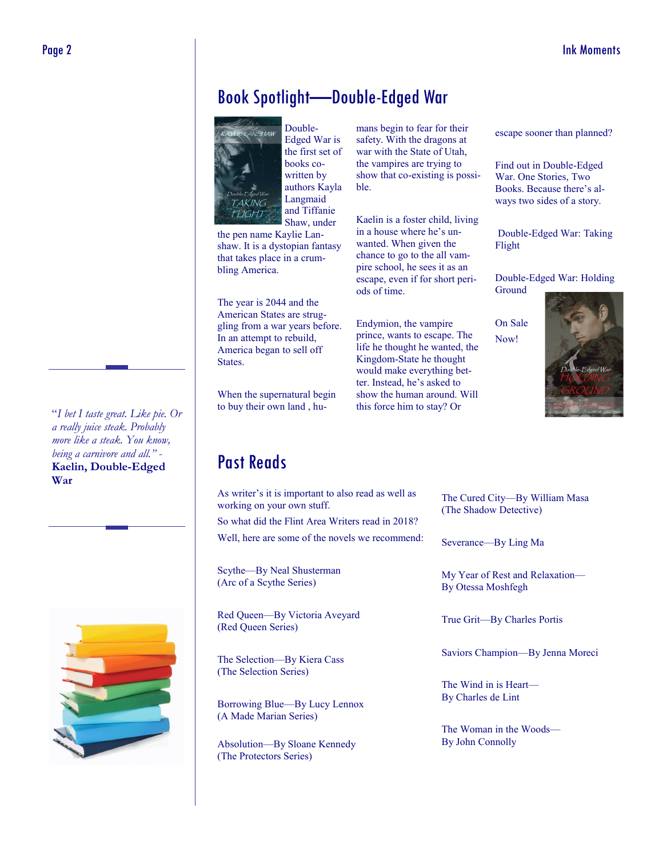# Book Spotlight—Double-Edged War



bling America.

States.

shaw. It is a dystopian fantasy that takes place in a crum-

The year is 2044 and the American States are struggling from a war years before. In an attempt to rebuild, America began to sell off

When the supernatural begin to buy their own land , hu-

Double-Edged War is the first set of books cowritten by authors Kayla Langmaid and Tiffanie Shaw, under

mans begin to fear for their safety. With the dragons at war with the State of Utah, the vampires are trying to show that co-existing is possible.

Kaelin is a foster child, living in a house where he's unwanted. When given the chance to go to the all vampire school, he sees it as an escape, even if for short periods of time.

Endymion, the vampire prince, wants to escape. The life he thought he wanted, the Kingdom-State he thought would make everything better. Instead, he's asked to show the human around. Will this force him to stay? Or

escape sooner than planned?

Find out in Double-Edged War. One Stories, Two Books. Because there's always two sides of a story.

Double-Edged War: Taking Flight

Double-Edged War: Holding Ground

On Sale Now!



"*I bet I taste great. Like pie. Or a really juice steak. Probably more like a steak. You know, being a carnivore and all."* - **Kaelin, Double-Edged War**



# Past Reads

As writer's it is important to also read as well as working on your own stuff. So what did the Flint Area Writers read in 2018?

Well, here are some of the novels we recommend:

Scythe—By Neal Shusterman (Arc of a Scythe Series)

Red Queen—By Victoria Aveyard (Red Queen Series)

The Selection—By Kiera Cass (The Selection Series)

Borrowing Blue—By Lucy Lennox (A Made Marian Series)

Absolution—By Sloane Kennedy (The Protectors Series)

The Cured City—By William Masa (The Shadow Detective)

Severance—By Ling Ma

My Year of Rest and Relaxation— By Otessa Moshfegh

True Grit—By Charles Portis

Saviors Champion—By Jenna Moreci

The Wind in is Heart— By Charles de Lint

The Woman in the Woods— By John Connolly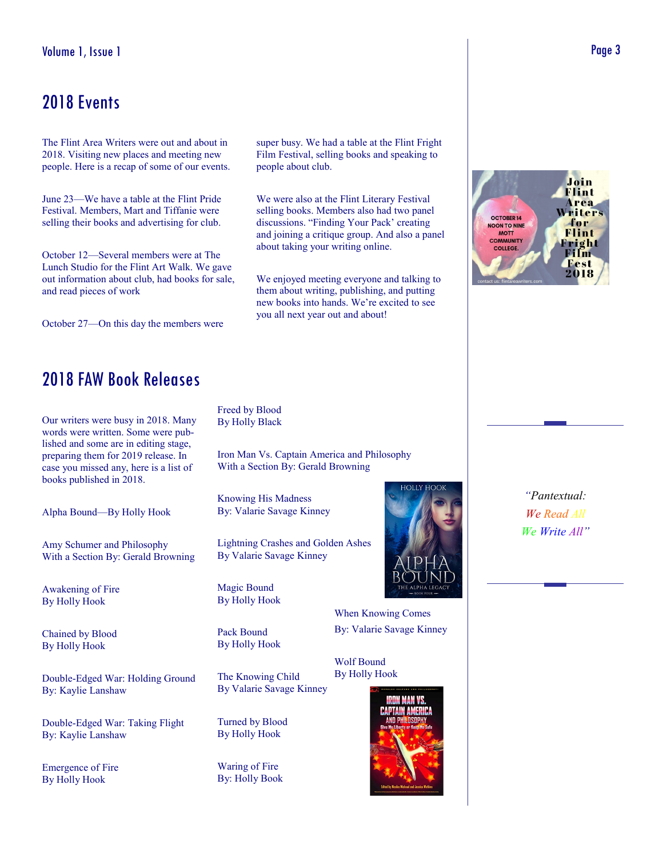### 2018 Events

The Flint Area Writers were out and about in 2018. Visiting new places and meeting new people. Here is a recap of some of our events.

June 23—We have a table at the Flint Pride Festival. Members, Mart and Tiffanie were selling their books and advertising for club.

October 12—Several members were at The Lunch Studio for the Flint Art Walk. We gave out information about club, had books for sale, and read pieces of work

October 27—On this day the members were

super busy. We had a table at the Flint Fright Film Festival, selling books and speaking to people about club.

We were also at the Flint Literary Festival selling books. Members also had two panel discussions. "Finding Your Pack' creating and joining a critique group. And also a panel about taking your writing online.

We enjoyed meeting everyone and talking to them about writing, publishing, and putting new books into hands. We're excited to see you all next year out and about!



### 2018 FAW Book Releases

Our writers were busy in 2018. Many words were written. Some were published and some are in editing stage, preparing them for 2019 release. In case you missed any, here is a list of books published in 2018.

Alpha Bound—By Holly Hook

Amy Schumer and Philosophy With a Section By: Gerald Browning

Awakening of Fire By Holly Hook

Chained by Blood By Holly Hook

Double-Edged War: Holding Ground By: Kaylie Lanshaw

Double-Edged War: Taking Flight By: Kaylie Lanshaw

Emergence of Fire By Holly Hook

Freed by Blood By Holly Black

Iron Man Vs. Captain America and Philosophy With a Section By: Gerald Browning

Knowing His Madness By: Valarie Savage Kinney

Lightning Crashes and Golden Ashes By Valarie Savage Kinney

Magic Bound By Holly Hook

Pack Bound By Holly Hook

The Knowing Child By Valarie Savage Kinney

Turned by Blood By Holly Hook

Waring of Fire By: Holly Book



When Knowing Comes By: Valarie Savage Kinney

Wolf Bound By Holly Hook



*"Pantextual: We Read All We Write All"*